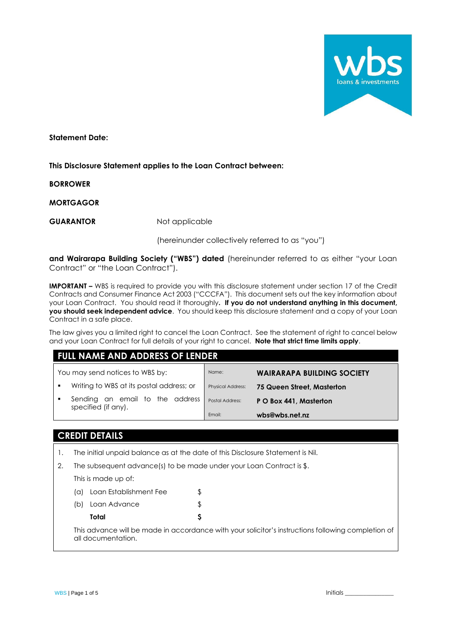

**Statement Date:**

**This Disclosure Statement applies to the Loan Contract between:**

**BORROWER**

**MORTGAGOR**

**GUARANTOR** Not applicable

(hereinunder collectively referred to as "you")

**and Wairarapa Building Society ("WBS") dated** (hereinunder referred to as either "your Loan Contract" or "the Loan Contract").

**IMPORTANT –** WBS is required to provide you with this disclosure statement under section 17 of the Credit Contracts and Consumer Finance Act 2003 ("CCCFA"). This document sets out the key information about your Loan Contract. You should read it thoroughly**. If you do not understand anything in this document, you should seek independent advice**. You should keep this disclosure statement and a copy of your Loan Contract in a safe place.

The law gives you a limited right to cancel the Loan Contract. See the statement of right to cancel below and your Loan Contract for full details of your right to cancel. **Note that strict time limits apply**.

## **FULL NAME AND ADDRESS OF LENDER**

| You may send notices to WBS by:                            | Name:                    | <b>WAIRARAPA BUILDING SOCIETY</b> |
|------------------------------------------------------------|--------------------------|-----------------------------------|
| Writing to WBS at its postal address; or<br>$\blacksquare$ | <b>Physical Address:</b> | 75 Queen Street, Masterton        |
| Sending an email to the address<br>specified (if any).     | Postal Address:          | P O Box 441. Masterton            |
|                                                            | Email:                   | wbs@wbs.net.nz                    |

## **CREDIT DETAILS**

- 1. The initial unpaid balance as at the date of this Disclosure Statement is Nil.
- 2. The subsequent advance(s) to be made under your Loan Contract is \$.

This is made up of:

| Total                      |    |
|----------------------------|----|
| (b) Loan Advance           | S. |
| (a) Loan Establishment Fee |    |

This advance will be made in accordance with your solicitor's instructions following completion of all documentation.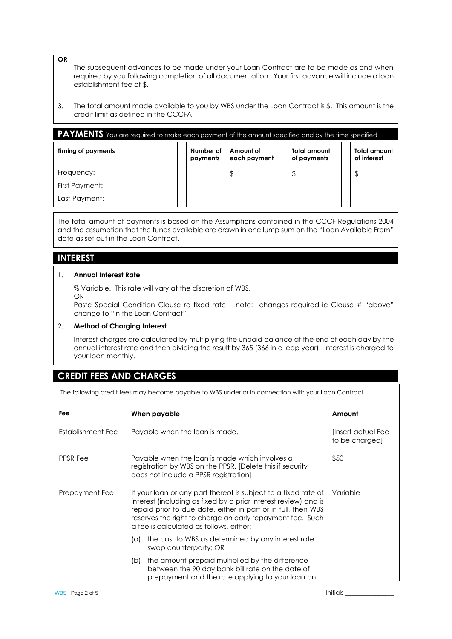**OR**

The subsequent advances to be made under your Loan Contract are to be made as and when required by you following completion of all documentation. Your first advance will include a loan establishment fee of \$.

3. The total amount made available to you by WBS under the Loan Contract is \$. This amount is the credit limit as defined in the CCCFA.

| $\mathsf{PAYMENTS}$ You are required to make each payment of the amount specified and by the time specified |                       |                           |                             |                             |
|-------------------------------------------------------------------------------------------------------------|-----------------------|---------------------------|-----------------------------|-----------------------------|
| <b>Timing of payments</b>                                                                                   | Number of<br>payments | Amount of<br>each payment | Total amount<br>of payments | Total amount<br>of interest |
| Frequency:                                                                                                  |                       | \$                        |                             | \$                          |
| First Payment:                                                                                              |                       |                           |                             |                             |
| Last Payment:                                                                                               |                       |                           |                             |                             |

The total amount of payments is based on the Assumptions contained in the CCCF Regulations 2004 and the assumption that the funds available are drawn in one lump sum on the "Loan Available From" date as set out in the Loan Contract.

## **INTEREST**

#### 1. **Annual Interest Rate**

% Variable. This rate will vary at the discretion of WBS. OR

Paste Special Condition Clause re fixed rate – note: changes required ie Clause # "above" change to "in the Loan Contract".

#### 2. **Method of Charging Interest**

Interest charges are calculated by multiplying the unpaid balance at the end of each day by the annual interest rate and then dividing the result by 365 (366 in a leap year). Interest is charged to your loan monthly.

# **CREDIT FEES AND CHARGES**

The following credit fees may become payable to WBS under or in connection with your Loan Contract

| <b>Fee</b>        | When payable                                                                                                                                                                                                                                                                                               | Amount                              |
|-------------------|------------------------------------------------------------------------------------------------------------------------------------------------------------------------------------------------------------------------------------------------------------------------------------------------------------|-------------------------------------|
| Establishment Fee | Payable when the loan is made.                                                                                                                                                                                                                                                                             | Insert actual Fee<br>to be charged] |
| <b>PPSR</b> Fee   | Payable when the loan is made which involves a<br>registration by WBS on the PPSR. [Delete this if security<br>does not include a PPSR registration]                                                                                                                                                       | \$50                                |
| Prepayment Fee    | If your loan or any part thereof is subject to a fixed rate of<br>interest (including as fixed by a prior interest review) and is<br>repaid prior to due date, either in part or in full, then WBS<br>reserves the right to charge an early repayment fee. Such<br>a fee is calculated as follows, either: | Variable                            |
|                   | the cost to WBS as determined by any interest rate<br>(a)<br>swap counterparty; OR                                                                                                                                                                                                                         |                                     |
|                   | the amount prepaid multiplied by the difference<br>(b)<br>between the 90 day bank bill rate on the date of<br>prepayment and the rate applying to your loan on                                                                                                                                             |                                     |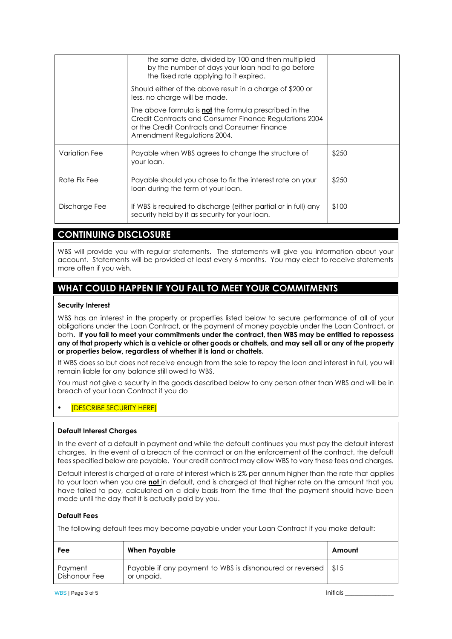|               | the same date, divided by 100 and then multiplied<br>by the number of days your loan had to go before<br>the fixed rate applying to it expired.                                                        |       |
|---------------|--------------------------------------------------------------------------------------------------------------------------------------------------------------------------------------------------------|-------|
|               | Should either of the above result in a charge of \$200 or<br>less, no charge will be made.                                                                                                             |       |
|               | The above formula is <b>not</b> the formula prescribed in the<br>Credit Contracts and Consumer Finance Regulations 2004<br>or the Credit Contracts and Consumer Finance<br>Amendment Regulations 2004. |       |
| Variation Fee | Payable when WBS agrees to change the structure of<br>your loan.                                                                                                                                       | \$250 |
| Rate Fix Fee  | Payable should you chose to fix the interest rate on your<br>loan during the term of your loan.                                                                                                        | \$250 |
| Discharge Fee | If WBS is required to discharge (either partial or in full) any<br>security held by it as security for your loan.                                                                                      | \$100 |

# **CONTINUING DISCLOSURE**

WBS will provide you with regular statements. The statements will give you information about your account. Statements will be provided at least every 6 months. You may elect to receive statements more often if you wish.

# **WHAT COULD HAPPEN IF YOU FAIL TO MEET YOUR COMMITMENTS**

### **Security Interest**

WBS has an interest in the property or properties listed below to secure performance of all of your obligations under the Loan Contract, or the payment of money payable under the Loan Contract, or both**. If you fail to meet your commitments under the contract, then WBS may be entitled to repossess any of that property which is a vehicle or other goods or chattels, and may sell all or any of the property or properties below, regardless of whether it is land or chattels.** 

If WBS does so but does not receive enough from the sale to repay the loan and interest in full, you will remain liable for any balance still owed to WBS.

You must not give a security in the goods described below to any person other than WBS and will be in breach of your Loan Contract if you do

### [DESCRIBE SECURITY HERE]

### **Default Interest Charges**

In the event of a default in payment and while the default continues you must pay the default interest charges. In the event of a breach of the contract or on the enforcement of the contract, the default fees specified below are payable. Your credit contract may allow WBS to vary these fees and charges.

Default interest is charged at a rate of interest which is 2% per annum higher than the rate that applies to your loan when you are **not** in default, and is charged at that higher rate on the amount that you have failed to pay, calculated on a daily basis from the time that the payment should have been made until the day that it is actually paid by you.

### **Default Fees**

The following default fees may become payable under your Loan Contract if you make default:

| Fee                      | When Payable                                                                  | Amount |
|--------------------------|-------------------------------------------------------------------------------|--------|
| Payment<br>Dishonour Fee | Payable if any payment to WBS is dishonoured or reversed   \$15<br>or unpaid. |        |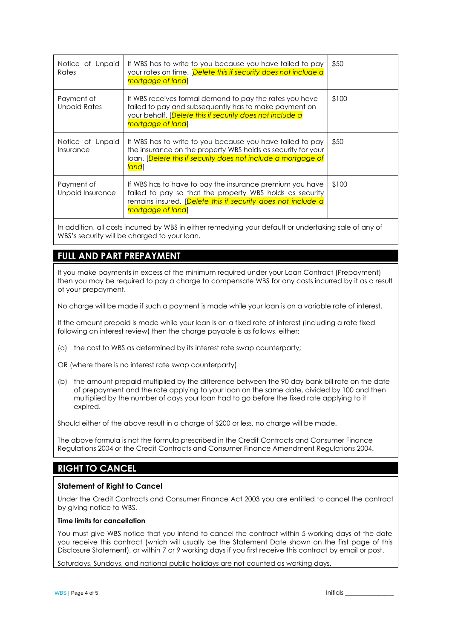| Notice of Unpaid<br>Rates      | If WBS has to write to you because you have failed to pay<br>your rates on time. [Delete this if security does not include a<br>mortgage of land                                                         | \$50  |
|--------------------------------|----------------------------------------------------------------------------------------------------------------------------------------------------------------------------------------------------------|-------|
| Payment of<br>Unpaid Rates     | If WBS receives formal demand to pay the rates you have<br>failed to pay and subsequently has to make payment on<br>your behalf. [Delete this if security does not include a<br>mortgage of land         | \$100 |
| Notice of Unpaid<br>Insurance  | If WBS has to write to you because you have failed to pay<br>the insurance on the property WBS holds as security for your<br>loan. [Delete this if security does not include a mortgage of<br>land]      | \$50  |
| Payment of<br>Unpaid Insurance | If WBS has to have to pay the insurance premium you have<br>failed to pay so that the property WBS holds as security<br>remains insured. [Delete this if security does not include a<br>mortgage of land | \$100 |

In addition, all costs incurred by WBS in either remedying your default or undertaking sale of any of WBS's security will be charged to your loan.

# **FULL AND PART PREPAYMENT**

If you make payments in excess of the minimum required under your Loan Contract (Prepayment) then you may be required to pay a charge to compensate WBS for any costs incurred by it as a result of your prepayment.

No charge will be made if such a payment is made while your loan is on a variable rate of interest.

If the amount prepaid is made while your loan is on a fixed rate of interest (including a rate fixed following an interest review) then the charge payable is as follows, either:

(a) the cost to WBS as determined by its interest rate swap counterparty;

OR (where there is no interest rate swap counterparty)

(b) the amount prepaid multiplied by the difference between the 90 day bank bill rate on the date of prepayment and the rate applying to your loan on the same date, divided by 100 and then multiplied by the number of days your loan had to go before the fixed rate applying to it expired.

Should either of the above result in a charge of \$200 or less, no charge will be made.

The above formula is not the formula prescribed in the Credit Contracts and Consumer Finance Regulations 2004 or the Credit Contracts and Consumer Finance Amendment Regulations 2004.

# **RIGHT TO CANCEL**

### **Statement of Right to Cancel**

Under the Credit Contracts and Consumer Finance Act 2003 you are entitled to cancel the contract by giving notice to WBS.

#### **Time limits for cancellation**

You must give WBS notice that you intend to cancel the contract within 5 working days of the date you receive this contract (which will usually be the Statement Date shown on the first page of this Disclosure Statement), or within 7 or 9 working days if you first receive this contract by email or post.

Saturdays, Sundays, and national public holidays are not counted as working days.